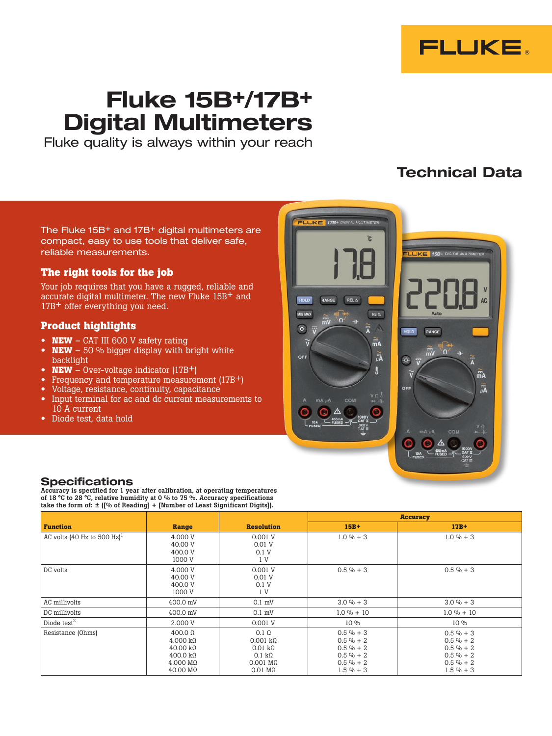

## Fluke 15B+/17B+ Digital Multimeters

Fluke quality is always within your reach

## Technical Data

The Fluke 15B+ and 17B+ digital multimeters are compact, easy to use tools that deliver safe, reliable measurements.

## **The right tools for the job**

Your job requires that you have a rugged, reliable and accurate digital multimeter. The new Fluke 15B+ and 17B+ offer everything you need.

## **Product highlights**

- **NEW** CAT III 600 V safety rating
- **NEW** 50 % bigger display with bright white backlight
- **NEW** Over-voltage indicator (17B<sup>+</sup>)
- Frequency and temperature measurement (17B<sup>+</sup>)
- Voltage, resistance, continuity, capacitance
- Input terminal for ac and dc current measurements to 10 A current
- Diode test, data hold

# **LUKE 178+** DIGITAL MULTIMETER 'n **LUKE 158+ DIGITAL MULTIMETE**  $\ddot{\rm{o}}$ **PANCE** πŹ  $\overline{\overline{\mu}}$ A OFF

### **Specifications**

Accuracy is specified for 1 year after calibration, at operating temperatures of 18 °C to 28 °C, relative humidity at 0 % to 75 %. Accuracy specifications take the form of:  $\pm$  ([% of Reading] + [Number of Least Significant Digits]).

|                                         |                                                                                                                                                        |                                                                                                                                         |                                                                                              | <b>Accuracy</b>                                                                              |
|-----------------------------------------|--------------------------------------------------------------------------------------------------------------------------------------------------------|-----------------------------------------------------------------------------------------------------------------------------------------|----------------------------------------------------------------------------------------------|----------------------------------------------------------------------------------------------|
| <b>Function</b>                         | Range                                                                                                                                                  | <b>Resolution</b>                                                                                                                       | $15B+$                                                                                       | $17B+$                                                                                       |
| AC volts (40 Hz to 500 Hz) <sup>1</sup> | 4.000 V<br>40.00 V<br>400.0 V<br>1000 V                                                                                                                | 0.001V<br>$0.01$ V<br>0.1V<br>1 V                                                                                                       | $1.0 \% + 3$                                                                                 | $1.0 \% + 3$                                                                                 |
| DC volts                                | 4.000 V<br>40.00 V<br>400.0 V<br>1000 V                                                                                                                | 0.001V<br>$0.01$ V<br>0.1V<br>1 <sub>V</sub>                                                                                            | $0.5 \% + 3$                                                                                 | $0.5 \% + 3$                                                                                 |
| AC millivolts                           | 400.0 mV                                                                                                                                               | $0.1$ mV                                                                                                                                | $3.0 \% + 3$                                                                                 | $3.0 \% + 3$                                                                                 |
| DC millivolts                           | 400.0 mV                                                                                                                                               | $0.1$ mV                                                                                                                                | $1.0 \% + 10$                                                                                | $1.0 \% + 10$                                                                                |
| Diode test <sup>2</sup>                 | 2.000 V                                                                                                                                                | 0.001V                                                                                                                                  | 10%                                                                                          | 10%                                                                                          |
| Resistance (Ohms)                       | $400.0\ \Omega$<br>$4.000 \text{ k}\Omega$<br>$40.00 \text{ k}\Omega$<br>$400.0 \text{ k}\Omega$<br>$4.000 \text{ M}\Omega$<br>$40.00 \text{ M}\Omega$ | $0.1\ \Omega$<br>$0.001$ kΩ<br>$0.01 \text{ k}\Omega$<br>$0.1 \; \mathrm{k}\Omega$<br>$0.001 \text{ M}\Omega$<br>$0.01 \text{ M}\Omega$ | $0.5 \% + 3$<br>$0.5 \% + 2$<br>$0.5 \% + 2$<br>$0.5 \% + 2$<br>$0.5 \% + 2$<br>$1.5 \% + 3$ | $0.5 \% + 3$<br>$0.5 \% + 2$<br>$0.5 \% + 2$<br>$0.5 \% + 2$<br>$0.5 \% + 2$<br>$1.5 \% + 3$ |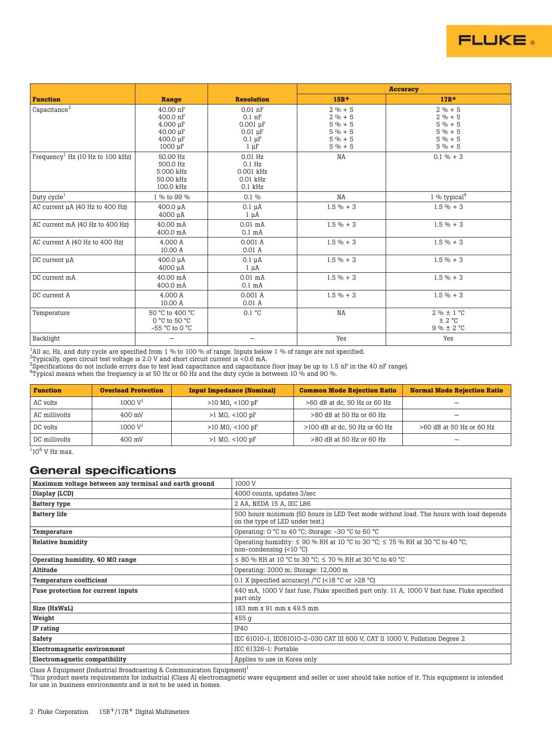

**FLUKE** 

<sup>1</sup>All ac, Hz, and duty cycle are specified from 1 % to 100 % of range. Inputs below 1 % of range are not specified.

 $^{2}$ Typically, open circuit test voltage is 2.0 V and short circuit current is <0.6 mA.

3Specifications do not include errors due to test lead capacitance and capacitance floor (may be up to 1.5 nF in the 40 nF range).

 $^4$ Typical means when the frequency is at 50 Hz or 60 Hz and the duty cycle is between 10 % and 90 %.

| <b>Function</b> | <b>Overload Protection</b> | <b>Input Impedance (Nominal)</b> | <b>Common Mode Rejection Ratio</b> | <b>Normal Mode Rejection Ratio</b> |
|-----------------|----------------------------|----------------------------------|------------------------------------|------------------------------------|
| AC volts        | 1000 V <sup>1</sup>        | $>10 \text{ M}\Omega$ , <100 pF  | >60 dB at dc, 50 Hz or 60 Hz       | -                                  |
| AC millivolts   | 400 mV                     | $>1$ M $\Omega$ , <100 pF        | >80 dB at 50 Hz or 60 Hz           | $\overline{\phantom{0}}$           |
| DC volts        | 1000 V <sup>1</sup>        | $>10 \text{ M}\Omega$ , <100 pF  | $>100$ dB at dc, 50 Hz or 60 Hz    | >60 dB at 50 Hz or 60 Hz           |
| DC millivolts   | 400 mV                     | $>1$ M $\Omega$ , <100 pF        | >80 dB at 50 Hz or 60 Hz           | -                                  |

 $10^6$  V Hz max.

## General specifications

| Maximum voltage between any terminal and earth ground | 1000 V                                                                                                                    |  |
|-------------------------------------------------------|---------------------------------------------------------------------------------------------------------------------------|--|
| Display (LCD)                                         | 4000 counts, updates 3/sec                                                                                                |  |
| <b>Battery type</b>                                   | 2 AA, NEDA 15 A, IEC LR6                                                                                                  |  |
| <b>Battery life</b>                                   | 500 hours minimum (50 hours in LED Test mode without load. The hours with load depends<br>on the type of LED under test.) |  |
| Temperature                                           | Operating: 0 °C to 40 °C; Storage: $-30$ °C to 60 °C                                                                      |  |
| <b>Relative humidity</b>                              | Operating humidity: $\leq 90$ % RH at 10 °C to 30 °C; $\leq 75$ % RH at 30 °C to 40 °C;<br>non-condensing $(<10 °C)$      |  |
| Operating humidity, 40 $\text{M}\Omega$ range         | $\leq$ 80 % RH at 10 °C to 30 °C; $\leq$ 70 % RH at 30 °C to 40 °C                                                        |  |
| Altitude                                              | Operating: 2000 m; Storage: 12,000 m                                                                                      |  |
| <b>Temperature coefficient</b>                        | 0.1 X (specified accuracy) / $^{\circ}$ C (<18 $^{\circ}$ C or >28 $^{\circ}$ C)                                          |  |
| Fuse protection for current inputs                    | 440 mA, 1000 V fast fuse, Fluke specified part only, 11 A, 1000 V fast fuse, Fluke specified<br>part only                 |  |
| Size (HxWxL)                                          | 183 mm x 91 mm x 49.5 mm                                                                                                  |  |
| Weight                                                | 455 g                                                                                                                     |  |
| IP rating                                             | IP40                                                                                                                      |  |
| Safety                                                | IEC 61010-1, IEC61010-2-030 CAT III 600 V, CAT II 1000 V, Pollution Degree 2                                              |  |
| Electromagnetic environment                           | IEC 61326-1: Portable                                                                                                     |  |
| Electromagnetic compatibility                         | Applies to use in Korea only                                                                                              |  |

Class A Equipment (Industrial Broadcasting & Communication Equipment)<sup>1</sup><br><sup>1</sup>This product meets requirements for industrial (Class A) electromagnetic wave equipment and seller or user should take notice of it. This equipmen for use in business environments and is not to be used in homes.